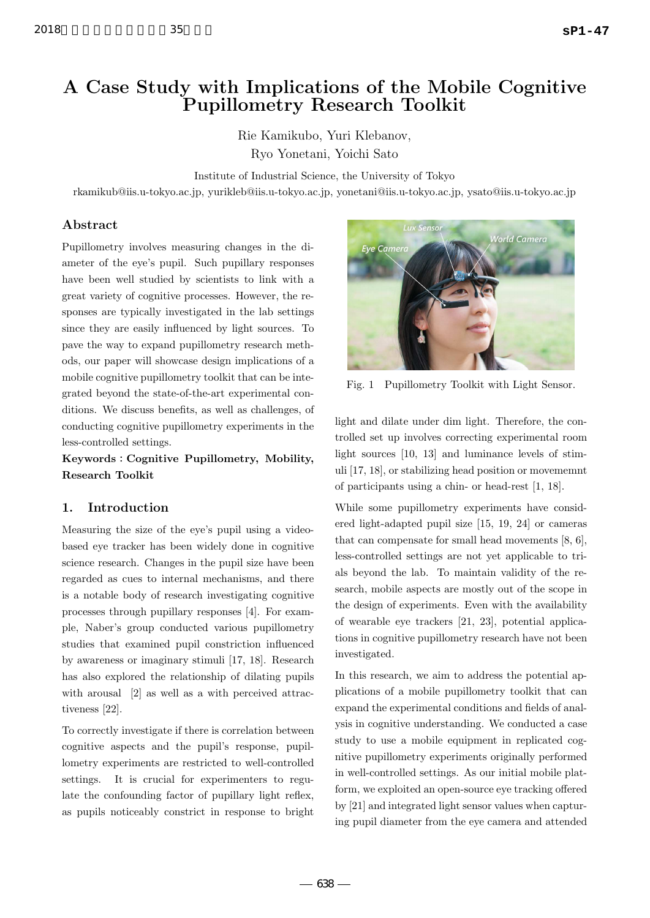# 2018 **sP1-47**

# A Case Study with Implications of the Mobile Cognitive Pupillometry Research Toolkit

Rie Kamikubo, Yuri Klebanov, Ryo Yonetani, Yoichi Sato

Institute of Industrial Science, the University of Tokyo

rkamikub@iis.u-tokyo.ac.jp, yurikleb@iis.u-tokyo.ac.jp, yonetani@iis.u-tokyo.ac.jp, ysato@iis.u-tokyo.ac.jp

# Abstract

Pupillometry involves measuring changes in the diameter of the eye's pupil. Such pupillary responses have been well studied by scientists to link with a great variety of cognitive processes. However, the responses are typically investigated in the lab settings since they are easily influenced by light sources. To pave the way to expand pupillometry research methods, our paper will showcase design implications of a mobile cognitive pupillometry toolkit that can be integrated beyond the state-of-the-art experimental conditions. We discuss benefits, as well as challenges, of conducting cognitive pupillometry experiments in the less-controlled settings.

Keywords:Cognitive Pupillometry, Mobility, Research Toolkit

# 1. Introduction

Measuring the size of the eye's pupil using a videobased eye tracker has been widely done in cognitive science research. Changes in the pupil size have been regarded as cues to internal mechanisms, and there is a notable body of research investigating cognitive processes through pupillary responses [4]. For example, Naber's group conducted various pupillometry studies that examined pupil constriction influenced by awareness or imaginary stimuli [17, 18]. Research has also explored the relationship of dilating pupils with arousal [2] as well as a with perceived attractiveness [22].

To correctly investigate if there is correlation between cognitive aspects and the pupil's response, pupillometry experiments are restricted to well-controlled settings. It is crucial for experimenters to regulate the confounding factor of pupillary light reflex, as pupils noticeably constrict in response to bright



Fig. 1 Pupillometry Toolkit with Light Sensor.

light and dilate under dim light. Therefore, the controlled set up involves correcting experimental room light sources [10, 13] and luminance levels of stimuli [17, 18], or stabilizing head position or movememnt of participants using a chin- or head-rest [1, 18].

While some pupillometry experiments have considered light-adapted pupil size [15, 19, 24] or cameras that can compensate for small head movements [8, 6], less-controlled settings are not yet applicable to trials beyond the lab. To maintain validity of the research, mobile aspects are mostly out of the scope in the design of experiments. Even with the availability of wearable eye trackers [21, 23], potential applications in cognitive pupillometry research have not been investigated.

In this research, we aim to address the potential applications of a mobile pupillometry toolkit that can expand the experimental conditions and fields of analysis in cognitive understanding. We conducted a case study to use a mobile equipment in replicated cognitive pupillometry experiments originally performed in well-controlled settings. As our initial mobile platform, we exploited an open-source eye tracking offered by [21] and integrated light sensor values when capturing pupil diameter from the eye camera and attended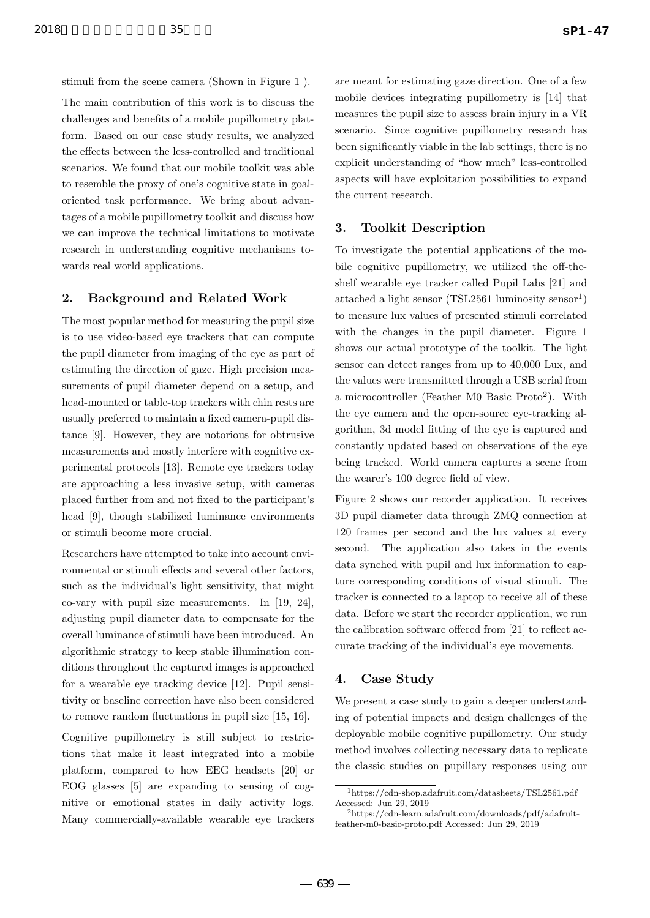stimuli from the scene camera (Shown in Figure 1 ).

The main contribution of this work is to discuss the challenges and benefits of a mobile pupillometry platform. Based on our case study results, we analyzed the effects between the less-controlled and traditional scenarios. We found that our mobile toolkit was able to resemble the proxy of one's cognitive state in goaloriented task performance. We bring about advantages of a mobile pupillometry toolkit and discuss how we can improve the technical limitations to motivate research in understanding cognitive mechanisms towards real world applications.

# 2. Background and Related Work

The most popular method for measuring the pupil size is to use video-based eye trackers that can compute the pupil diameter from imaging of the eye as part of estimating the direction of gaze. High precision measurements of pupil diameter depend on a setup, and head-mounted or table-top trackers with chin rests are usually preferred to maintain a fixed camera-pupil distance [9]. However, they are notorious for obtrusive measurements and mostly interfere with cognitive experimental protocols [13]. Remote eye trackers today are approaching a less invasive setup, with cameras placed further from and not fixed to the participant's head [9], though stabilized luminance environments or stimuli become more crucial.

Researchers have attempted to take into account environmental or stimuli effects and several other factors, such as the individual's light sensitivity, that might co-vary with pupil size measurements. In [19, 24], adjusting pupil diameter data to compensate for the overall luminance of stimuli have been introduced. An algorithmic strategy to keep stable illumination conditions throughout the captured images is approached for a wearable eye tracking device [12]. Pupil sensitivity or baseline correction have also been considered to remove random fluctuations in pupil size [15, 16].

Cognitive pupillometry is still subject to restrictions that make it least integrated into a mobile platform, compared to how EEG headsets [20] or EOG glasses [5] are expanding to sensing of cognitive or emotional states in daily activity logs. Many commercially-available wearable eye trackers

are meant for estimating gaze direction. One of a few mobile devices integrating pupillometry is [14] that measures the pupil size to assess brain injury in a VR scenario. Since cognitive pupillometry research has been significantly viable in the lab settings, there is no explicit understanding of "how much" less-controlled aspects will have exploitation possibilities to expand the current research.

## 3. Toolkit Description

To investigate the potential applications of the mobile cognitive pupillometry, we utilized the off-theshelf wearable eye tracker called Pupil Labs [21] and attached a light sensor  $(TSL2561$  luminosity sensor<sup>1</sup>) to measure lux values of presented stimuli correlated with the changes in the pupil diameter. Figure 1 shows our actual prototype of the toolkit. The light sensor can detect ranges from up to 40,000 Lux, and the values were transmitted through a USB serial from a microcontroller (Feather M0 Basic Proto<sup>2</sup> ). With the eye camera and the open-source eye-tracking algorithm, 3d model fitting of the eye is captured and constantly updated based on observations of the eye being tracked. World camera captures a scene from the wearer's 100 degree field of view.

Figure 2 shows our recorder application. It receives 3D pupil diameter data through ZMQ connection at 120 frames per second and the lux values at every second. The application also takes in the events data synched with pupil and lux information to capture corresponding conditions of visual stimuli. The tracker is connected to a laptop to receive all of these data. Before we start the recorder application, we run the calibration software offered from [21] to reflect accurate tracking of the individual's eye movements.

# 4. Case Study

We present a case study to gain a deeper understanding of potential impacts and design challenges of the deployable mobile cognitive pupillometry. Our study method involves collecting necessary data to replicate the classic studies on pupillary responses using our

<sup>1</sup>https://cdn-shop.adafruit.com/datasheets/TSL2561.pdf Accessed: Jun 29, 2019

<sup>2</sup>https://cdn-learn.adafruit.com/downloads/pdf/adafruitfeather-m0-basic-proto.pdf Accessed: Jun 29, 2019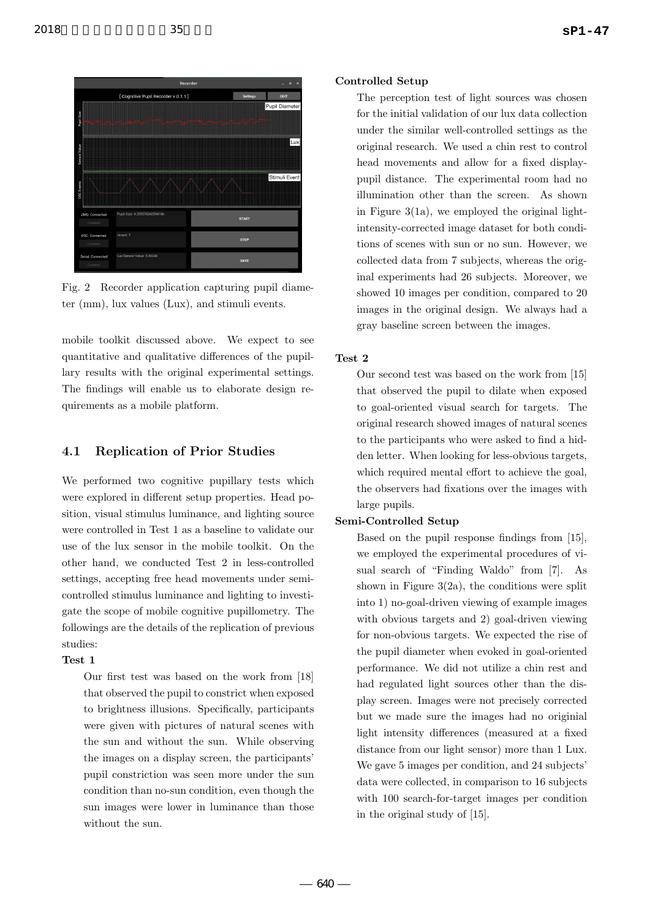



Fig. 2 Recorder application capturing pupil diameter (mm), lux values (Lux), and stimuli events.

mobile toolkit discussed above. We expect to see quantitative and qualitative differences of the pupillary results with the original experimental settings. The findings will enable us to elaborate design requirements as a mobile platform.

# 4.1 Replication of Prior Studies

We performed two cognitive pupillary tests which were explored in different setup properties. Head position, visual stimulus luminance, and lighting source were controlled in Test 1 as a baseline to validate our use of the lux sensor in the mobile toolkit. On the other hand, we conducted Test 2 in less-controlled settings, accepting free head movements under semicontrolled stimulus luminance and lighting to investigate the scope of mobile cognitive pupillometry. The followings are the details of the replication of previous studies:

# Test 1

Our first test was based on the work from [18] that observed the pupil to constrict when exposed to brightness illusions. Specifically, participants were given with pictures of natural scenes with the sun and without the sun. While observing the images on a display screen, the participants' pupil constriction was seen more under the sun condition than no-sun condition, even though the sun images were lower in luminance than those without the sun.

#### Controlled Setup

The perception test of light sources was chosen for the initial validation of our lux data collection under the similar well-controlled settings as the original research. We used a chin rest to control head movements and allow for a fixed displaypupil distance. The experimental room had no illumination other than the screen. As shown in Figure  $3(1a)$ , we employed the original lightintensity-corrected image dataset for both conditions of scenes with sun or no sun. However, we collected data from 7 subjects, whereas the original experiments had 26 subjects. Moreover, we showed 10 images per condition, compared to 20 images in the original design. We always had a gray baseline screen between the images.

#### Test 2

Our second test was based on the work from [15] that observed the pupil to dilate when exposed to goal-oriented visual search for targets. The original research showed images of natural scenes to the participants who were asked to find a hidden letter. When looking for less-obvious targets, which required mental effort to achieve the goal, the observers had fixations over the images with large pupils.

# Semi-Controlled Setup

Based on the pupil response findings from [15], we employed the experimental procedures of visual search of "Finding Waldo" from [7]. As shown in Figure  $3(2a)$ , the conditions were split into 1) no-goal-driven viewing of example images with obvious targets and 2) goal-driven viewing for non-obvious targets. We expected the rise of the pupil diameter when evoked in goal-oriented performance. We did not utilize a chin rest and had regulated light sources other than the display screen. Images were not precisely corrected but we made sure the images had no originial light intensity differences (measured at a fixed distance from our light sensor) more than 1 Lux. We gave 5 images per condition, and 24 subjects' data were collected, in comparison to 16 subjects with 100 search-for-target images per condition in the original study of [15].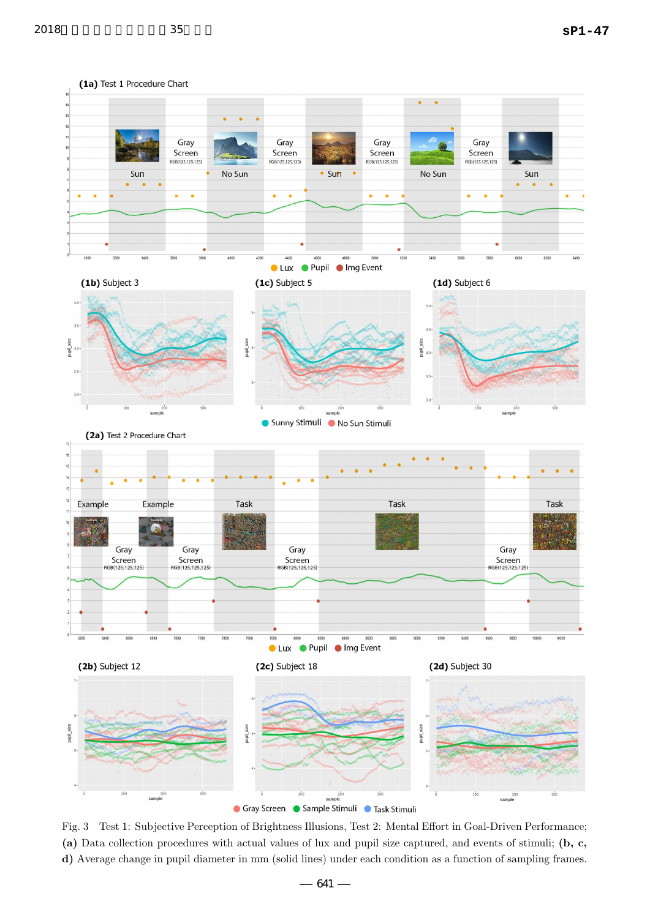

Fig. 3 Test 1: Subjective Perception of Brightness Illusions, Test 2: Mental Effort in Goal-Driven Performance; (a) Data collection procedures with actual values of lux and pupil size captured, and events of stimuli; (b, c, d) Average change in pupil diameter in mm (solid lines) under each condition as a function of sampling frames.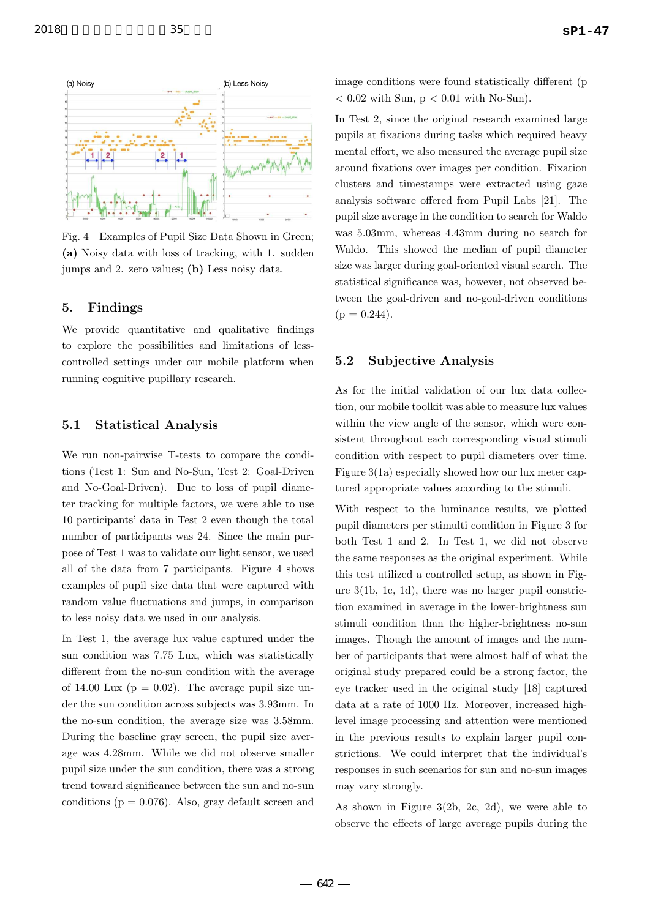

Fig. 4 Examples of Pupil Size Data Shown in Green; (a) Noisy data with loss of tracking, with 1. sudden jumps and 2. zero values; (b) Less noisy data.

# 5. Findings

We provide quantitative and qualitative findings to explore the possibilities and limitations of lesscontrolled settings under our mobile platform when running cognitive pupillary research.

## 5.1 Statistical Analysis

We run non-pairwise T-tests to compare the conditions (Test 1: Sun and No-Sun, Test 2: Goal-Driven and No-Goal-Driven). Due to loss of pupil diameter tracking for multiple factors, we were able to use 10 participants' data in Test 2 even though the total number of participants was 24. Since the main purpose of Test 1 was to validate our light sensor, we used all of the data from 7 participants. Figure 4 shows examples of pupil size data that were captured with random value fluctuations and jumps, in comparison to less noisy data we used in our analysis.

In Test 1, the average lux value captured under the sun condition was 7.75 Lux, which was statistically different from the no-sun condition with the average of 14.00 Lux ( $p = 0.02$ ). The average pupil size under the sun condition across subjects was 3.93mm. In the no-sun condition, the average size was 3.58mm. During the baseline gray screen, the pupil size average was 4.28mm. While we did not observe smaller pupil size under the sun condition, there was a strong trend toward significance between the sun and no-sun conditions ( $p = 0.076$ ). Also, gray default screen and image conditions were found statistically different (p  $< 0.02$  with Sun,  $p < 0.01$  with No-Sun).

In Test 2, since the original research examined large pupils at fixations during tasks which required heavy mental effort, we also measured the average pupil size around fixations over images per condition. Fixation clusters and timestamps were extracted using gaze analysis software offered from Pupil Labs [21]. The pupil size average in the condition to search for Waldo was 5.03mm, whereas 4.43mm during no search for Waldo. This showed the median of pupil diameter size was larger during goal-oriented visual search. The statistical significance was, however, not observed between the goal-driven and no-goal-driven conditions  $(p = 0.244)$ .

# 5.2 Subjective Analysis

As for the initial validation of our lux data collection, our mobile toolkit was able to measure lux values within the view angle of the sensor, which were consistent throughout each corresponding visual stimuli condition with respect to pupil diameters over time. Figure 3(1a) especially showed how our lux meter captured appropriate values according to the stimuli.

With respect to the luminance results, we plotted pupil diameters per stimulti condition in Figure 3 for both Test 1 and 2. In Test 1, we did not observe the same responses as the original experiment. While this test utilized a controlled setup, as shown in Figure 3(1b, 1c, 1d), there was no larger pupil constriction examined in average in the lower-brightness sun stimuli condition than the higher-brightness no-sun images. Though the amount of images and the number of participants that were almost half of what the original study prepared could be a strong factor, the eye tracker used in the original study [18] captured data at a rate of 1000 Hz. Moreover, increased highlevel image processing and attention were mentioned in the previous results to explain larger pupil constrictions. We could interpret that the individual's responses in such scenarios for sun and no-sun images may vary strongly.

As shown in Figure 3(2b, 2c, 2d), we were able to observe the effects of large average pupils during the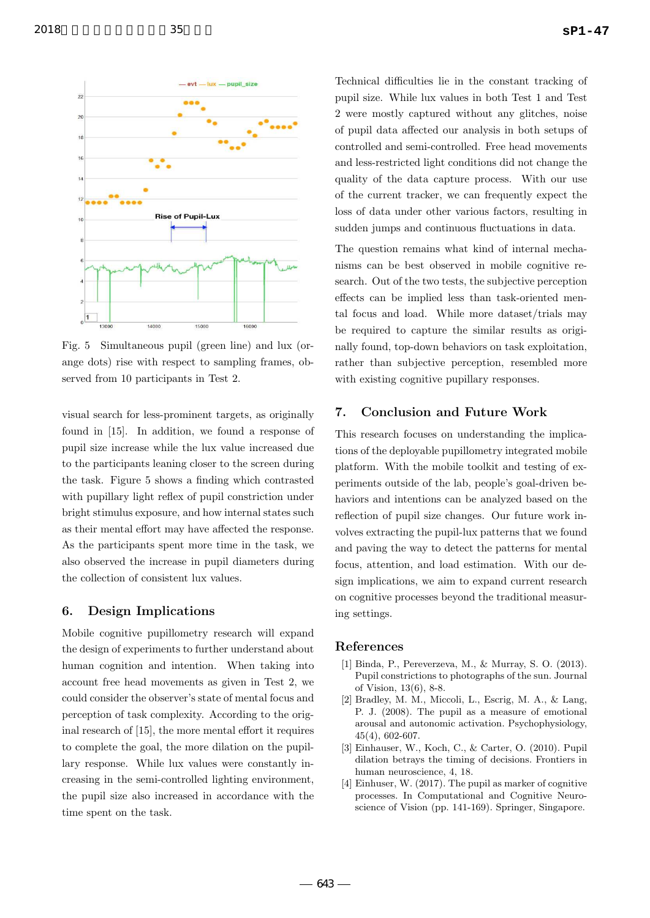



Fig. 5 Simultaneous pupil (green line) and lux (orange dots) rise with respect to sampling frames, observed from 10 participants in Test 2.

visual search for less-prominent targets, as originally found in [15]. In addition, we found a response of pupil size increase while the lux value increased due to the participants leaning closer to the screen during the task. Figure 5 shows a finding which contrasted with pupillary light reflex of pupil constriction under bright stimulus exposure, and how internal states such as their mental effort may have affected the response. As the participants spent more time in the task, we also observed the increase in pupil diameters during the collection of consistent lux values.

# 6. Design Implications

Mobile cognitive pupillometry research will expand the design of experiments to further understand about human cognition and intention. When taking into account free head movements as given in Test 2, we could consider the observer's state of mental focus and perception of task complexity. According to the original research of [15], the more mental effort it requires to complete the goal, the more dilation on the pupillary response. While lux values were constantly increasing in the semi-controlled lighting environment, the pupil size also increased in accordance with the time spent on the task.

Technical difficulties lie in the constant tracking of pupil size. While lux values in both Test 1 and Test 2 were mostly captured without any glitches, noise of pupil data affected our analysis in both setups of controlled and semi-controlled. Free head movements and less-restricted light conditions did not change the quality of the data capture process. With our use of the current tracker, we can frequently expect the loss of data under other various factors, resulting in sudden jumps and continuous fluctuations in data.

The question remains what kind of internal mechanisms can be best observed in mobile cognitive research. Out of the two tests, the subjective perception effects can be implied less than task-oriented mental focus and load. While more dataset/trials may be required to capture the similar results as originally found, top-down behaviors on task exploitation, rather than subjective perception, resembled more with existing cognitive pupillary responses.

# 7. Conclusion and Future Work

This research focuses on understanding the implications of the deployable pupillometry integrated mobile platform. With the mobile toolkit and testing of experiments outside of the lab, people's goal-driven behaviors and intentions can be analyzed based on the reflection of pupil size changes. Our future work involves extracting the pupil-lux patterns that we found and paving the way to detect the patterns for mental focus, attention, and load estimation. With our design implications, we aim to expand current research on cognitive processes beyond the traditional measuring settings.

#### References

- [1] Binda, P., Pereverzeva, M., & Murray, S. O. (2013). Pupil constrictions to photographs of the sun. Journal of Vision, 13(6), 8-8.
- [2] Bradley, M. M., Miccoli, L., Escrig, M. A., & Lang, P. J. (2008). The pupil as a measure of emotional arousal and autonomic activation. Psychophysiology, 45(4), 602-607.
- [3] Einhauser, W., Koch, C., & Carter, O. (2010). Pupil dilation betrays the timing of decisions. Frontiers in human neuroscience, 4, 18.
- [4] Einhuser, W. (2017). The pupil as marker of cognitive processes. In Computational and Cognitive Neuroscience of Vision (pp. 141-169). Springer, Singapore.